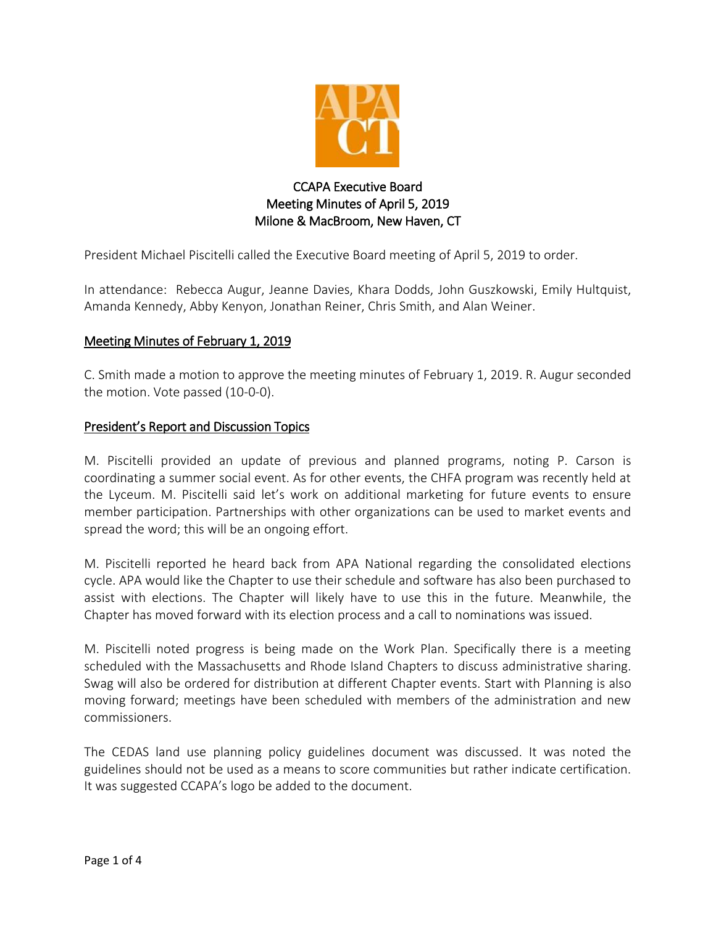

# CCAPA Executive Board Meeting Minutes of April 5, 2019 Milone & MacBroom, New Haven, CT

President Michael Piscitelli called the Executive Board meeting of April 5, 2019 to order.

In attendance: Rebecca Augur, Jeanne Davies, Khara Dodds, John Guszkowski, Emily Hultquist, Amanda Kennedy, Abby Kenyon, Jonathan Reiner, Chris Smith, and Alan Weiner.

## Meeting Minutes of February 1, 2019

C. Smith made a motion to approve the meeting minutes of February 1, 2019. R. Augur seconded the motion. Vote passed (10-0-0).

#### President's Report and Discussion Topics

M. Piscitelli provided an update of previous and planned programs, noting P. Carson is coordinating a summer social event. As for other events, the CHFA program was recently held at the Lyceum. M. Piscitelli said let's work on additional marketing for future events to ensure member participation. Partnerships with other organizations can be used to market events and spread the word; this will be an ongoing effort.

M. Piscitelli reported he heard back from APA National regarding the consolidated elections cycle. APA would like the Chapter to use their schedule and software has also been purchased to assist with elections. The Chapter will likely have to use this in the future. Meanwhile, the Chapter has moved forward with its election process and a call to nominations was issued.

M. Piscitelli noted progress is being made on the Work Plan. Specifically there is a meeting scheduled with the Massachusetts and Rhode Island Chapters to discuss administrative sharing. Swag will also be ordered for distribution at different Chapter events. Start with Planning is also moving forward; meetings have been scheduled with members of the administration and new commissioners.

The CEDAS land use planning policy guidelines document was discussed. It was noted the guidelines should not be used as a means to score communities but rather indicate certification. It was suggested CCAPA's logo be added to the document.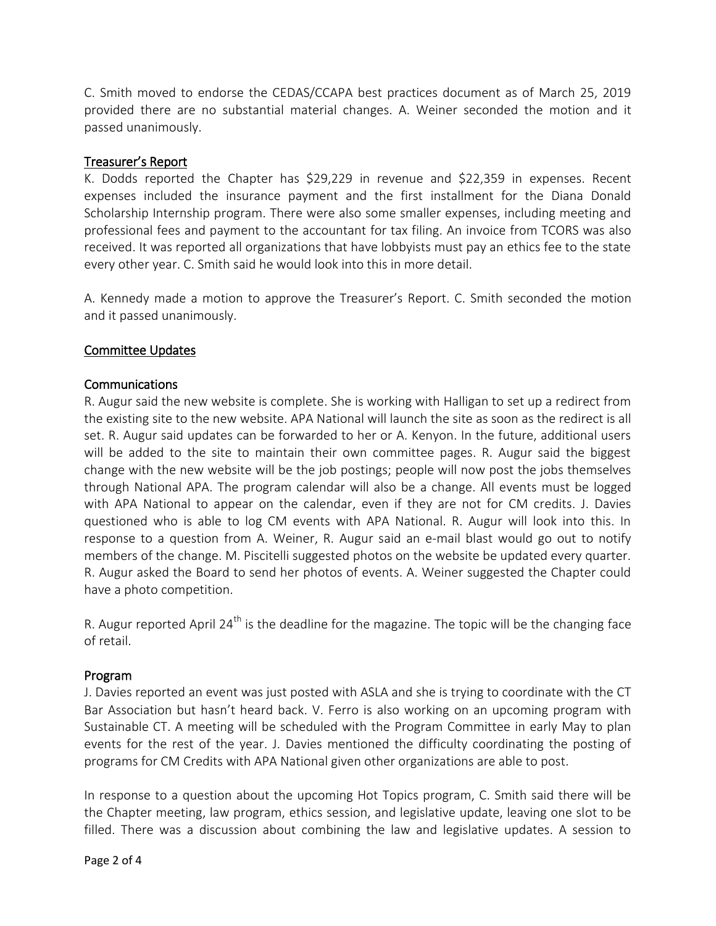C. Smith moved to endorse the CEDAS/CCAPA best practices document as of March 25, 2019 provided there are no substantial material changes. A. Weiner seconded the motion and it passed unanimously.

## Treasurer's Report

K. Dodds reported the Chapter has \$29,229 in revenue and \$22,359 in expenses. Recent expenses included the insurance payment and the first installment for the Diana Donald Scholarship Internship program. There were also some smaller expenses, including meeting and professional fees and payment to the accountant for tax filing. An invoice from TCORS was also received. It was reported all organizations that have lobbyists must pay an ethics fee to the state every other year. C. Smith said he would look into this in more detail.

A. Kennedy made a motion to approve the Treasurer's Report. C. Smith seconded the motion and it passed unanimously.

#### Committee Updates

#### Communications

R. Augur said the new website is complete. She is working with Halligan to set up a redirect from the existing site to the new website. APA National will launch the site as soon as the redirect is all set. R. Augur said updates can be forwarded to her or A. Kenyon. In the future, additional users will be added to the site to maintain their own committee pages. R. Augur said the biggest change with the new website will be the job postings; people will now post the jobs themselves through National APA. The program calendar will also be a change. All events must be logged with APA National to appear on the calendar, even if they are not for CM credits. J. Davies questioned who is able to log CM events with APA National. R. Augur will look into this. In response to a question from A. Weiner, R. Augur said an e-mail blast would go out to notify members of the change. M. Piscitelli suggested photos on the website be updated every quarter. R. Augur asked the Board to send her photos of events. A. Weiner suggested the Chapter could have a photo competition.

R. Augur reported April 24<sup>th</sup> is the deadline for the magazine. The topic will be the changing face of retail.

#### Program

J. Davies reported an event was just posted with ASLA and she is trying to coordinate with the CT Bar Association but hasn't heard back. V. Ferro is also working on an upcoming program with Sustainable CT. A meeting will be scheduled with the Program Committee in early May to plan events for the rest of the year. J. Davies mentioned the difficulty coordinating the posting of programs for CM Credits with APA National given other organizations are able to post.

In response to a question about the upcoming Hot Topics program, C. Smith said there will be the Chapter meeting, law program, ethics session, and legislative update, leaving one slot to be filled. There was a discussion about combining the law and legislative updates. A session to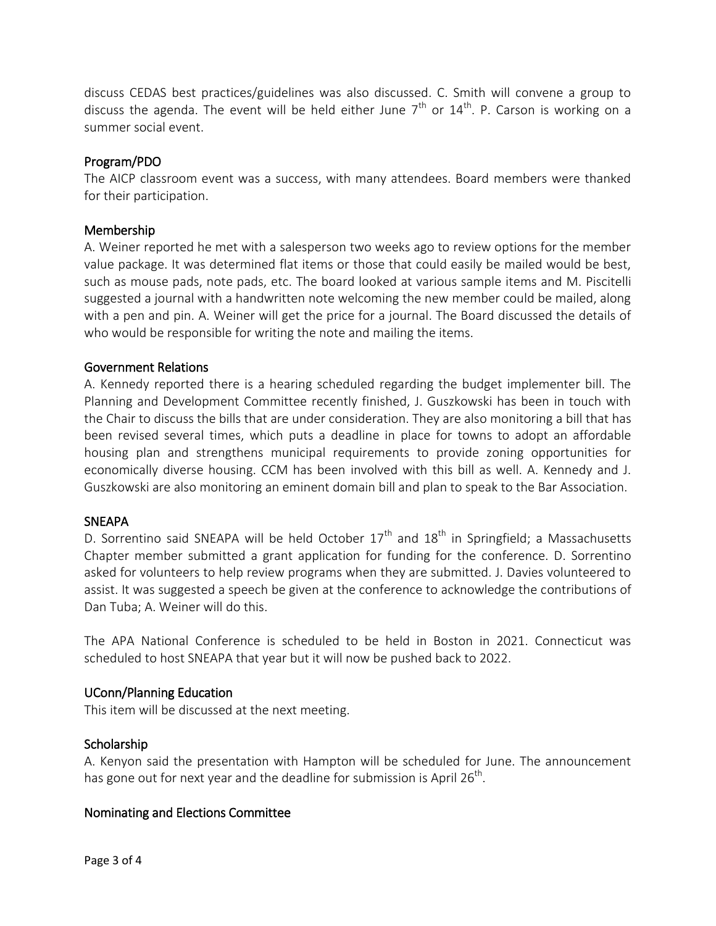discuss CEDAS best practices/guidelines was also discussed. C. Smith will convene a group to discuss the agenda. The event will be held either June  $7^{\text{th}}$  or  $14^{\text{th}}$ . P. Carson is working on a summer social event.

## Program/PDO

The AICP classroom event was a success, with many attendees. Board members were thanked for their participation.

#### Membership

A. Weiner reported he met with a salesperson two weeks ago to review options for the member value package. It was determined flat items or those that could easily be mailed would be best, such as mouse pads, note pads, etc. The board looked at various sample items and M. Piscitelli suggested a journal with a handwritten note welcoming the new member could be mailed, along with a pen and pin. A. Weiner will get the price for a journal. The Board discussed the details of who would be responsible for writing the note and mailing the items.

#### Government Relations

A. Kennedy reported there is a hearing scheduled regarding the budget implementer bill. The Planning and Development Committee recently finished, J. Guszkowski has been in touch with the Chair to discuss the bills that are under consideration. They are also monitoring a bill that has been revised several times, which puts a deadline in place for towns to adopt an affordable housing plan and strengthens municipal requirements to provide zoning opportunities for economically diverse housing. CCM has been involved with this bill as well. A. Kennedy and J. Guszkowski are also monitoring an eminent domain bill and plan to speak to the Bar Association.

#### **SNEAPA**

D. Sorrentino said SNEAPA will be held October  $17<sup>th</sup>$  and  $18<sup>th</sup>$  in Springfield; a Massachusetts Chapter member submitted a grant application for funding for the conference. D. Sorrentino asked for volunteers to help review programs when they are submitted. J. Davies volunteered to assist. It was suggested a speech be given at the conference to acknowledge the contributions of Dan Tuba; A. Weiner will do this.

The APA National Conference is scheduled to be held in Boston in 2021. Connecticut was scheduled to host SNEAPA that year but it will now be pushed back to 2022.

#### UConn/Planning Education

This item will be discussed at the next meeting.

#### Scholarship

A. Kenyon said the presentation with Hampton will be scheduled for June. The announcement has gone out for next year and the deadline for submission is April 26<sup>th</sup>.

#### Nominating and Elections Committee